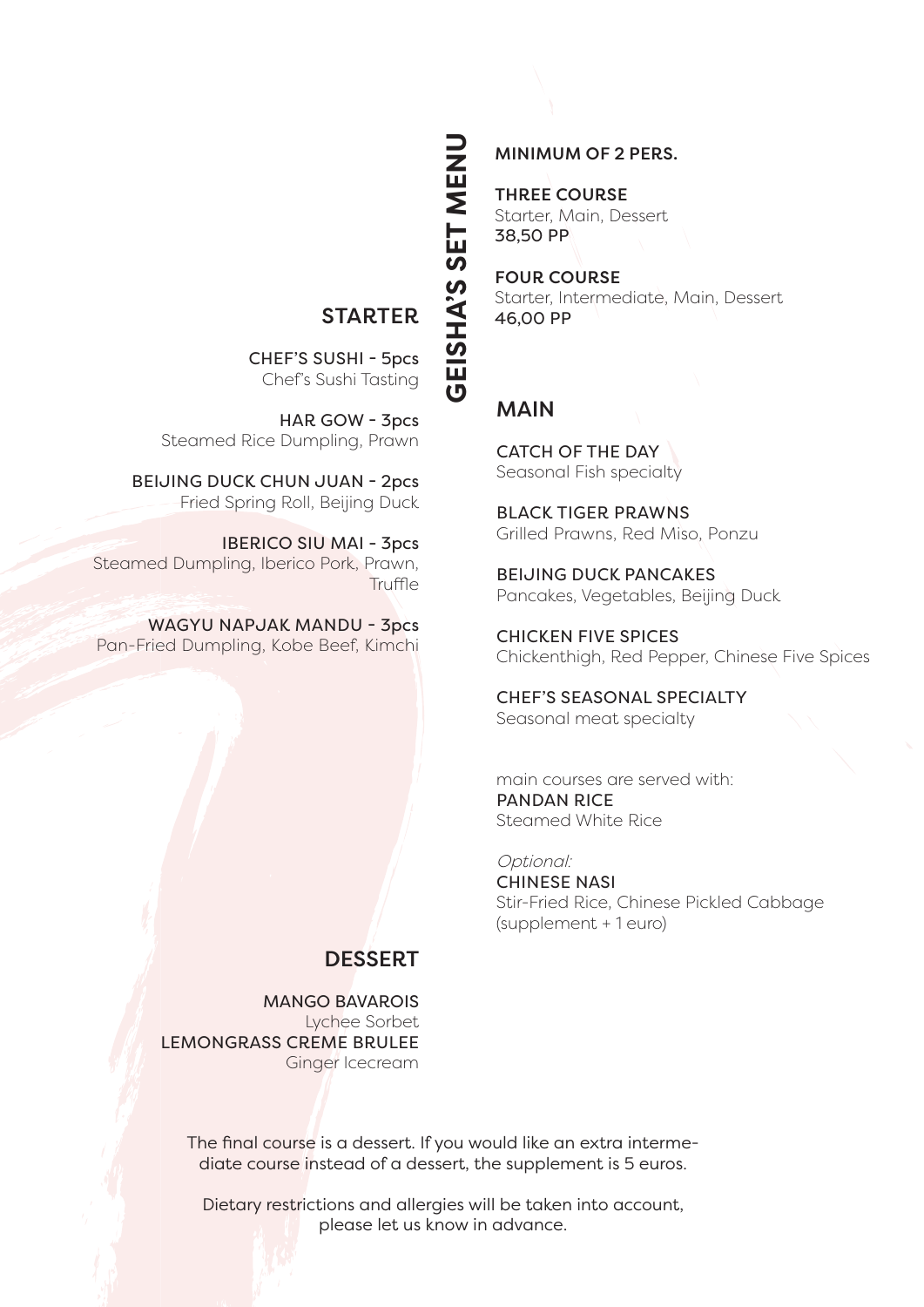# **STARTER**

**GEISHA'S SET MENU**GEISHA'S SET MENU

CHEF'S SUSHI - 5pcs Chef's Sushi Tasting

HAR GOW - 3pcs Steamed Rice Dumpling, Prawn

BEIJING DUCK CHUN JUAN - 2pcs Fried Spring Roll, Beijing Duck

IBERICO SIU MAI - 3pcs Steamed Dumpling, Iberico Pork, Prawn, **Truffle** 

WAGYU NAPJAK MANDU - 3pcs Pan-Fried Dumpling, Kobe Beef, Kimchi

#### MINIMUM OF 2 PERS.

THREE COURSE Starter, Main, Dessert 38,50 PP

FOUR COURSE Starter, Intermediate, Main, Dessert 46,00 PP

### MAIN

CATCH OF THE DAY Seasonal Fish specialty

BLACK TIGER PRAWNS Grilled Prawns, Red Miso, Ponzu

BEIJING DUCK PANCAKES Pancakes, Vegetables, Beijing Duck

CHICKEN FIVE SPICES Chickenthigh, Red Pepper, Chinese Five Spices

CHEF'S SEASONAL SPECIALTY Seasonal meat specialty

main courses are served with: PANDAN RICE Steamed White Rice

Optional: CHINESE NASI Stir-Fried Rice, Chinese Pickled Cabbage (supplement + 1 euro)

# **DESSERT**

MANGO BAVAROIS Lychee Sorbet LEMONGRASS CREME BRULEE Ginger Icecream

The final course is a dessert. If you would like an extra intermediate course instead of a dessert, the supplement is 5 euros.

Dietary restrictions and allergies will be taken into account, please let us know in advance.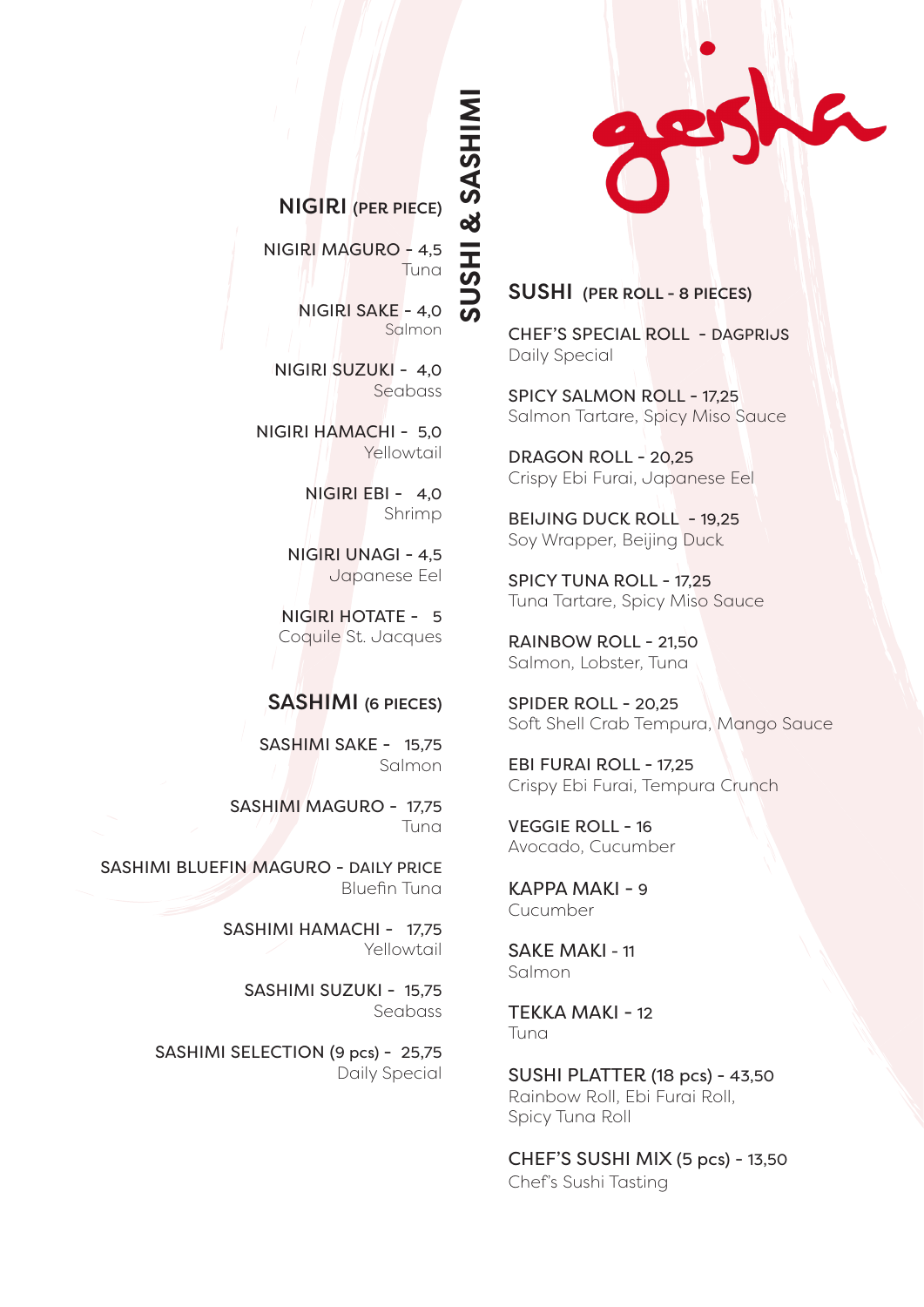

## NIGIRI (PER PIECE)

**SUSHI & SASHIMI**ISHI & SASHIM

NIGIRI MAGURO - 4,5 Tuna

> NIGIRI SAKE - 4,0 Salmon

NIGIRI SUZUKI - 4,0 Seabass

NIGIRI HAMACHI - 5,0 Yellowtail

> NIGIRI EBI - 4,0 Shrimp

NIGIRI UNAGI - 4,5 Japanese Eel

NIGIRI HOTATE - 5 Coquile St. Jacques

#### SASHIMI (6 PIECES)

SASHIMI SAKE - 15,75 Salmon

SASHIMI MAGURO - 17,75 Tuna

SASHIMI BLUEFIN MAGURO - DAILY PRICE Bluefin Tuna

> SASHIMI HAMACHI - 17,75 Yellowtail

> > SASHIMI SUZUKI - 15.75 Seabass

SASHIMI SELECTION (9 pcs) - 25,75 Daily Special

#### SUSHI (PER ROLL - 8 PIECES)

CHEF'S SPECIAL ROLL - DAGPRIJS Daily Special

SPICY SALMON ROLL - 17,25 Salmon Tartare, Spicy Miso Sauce

DRAGON ROLL - 20,25 Crispy Ebi Furai, Japanese Eel

BEIJING DUCK ROLL - 19,25 Soy Wrapper, Beijing Duck

SPICY TUNA ROLL - 17,25 Tuna Tartare, Spicy Miso Sauce

RAINBOW ROLL - 21,50 Salmon, Lobster, Tuna

SPIDER ROLL - 20,25 Soft Shell Crab Tempura, Mango Sauce

EBI FURAI ROLL - 17,25 Crispy Ebi Furai, Tempura Crunch

VEGGIE ROLL - 16 Avocado, Cucumber

KAPPA MAKI - 9 Cucumber

SAKE MAKI - 11 Salmon

TEKKA MAKI - 12 Tuna

SUSHI PLATTER (18 pcs) - 43,50 Rainbow Roll, Ebi Furai Roll, Spicy Tuna Roll

CHEF'S SUSHI MIX (5 pcs) - 13,50 Chef's Sushi Tasting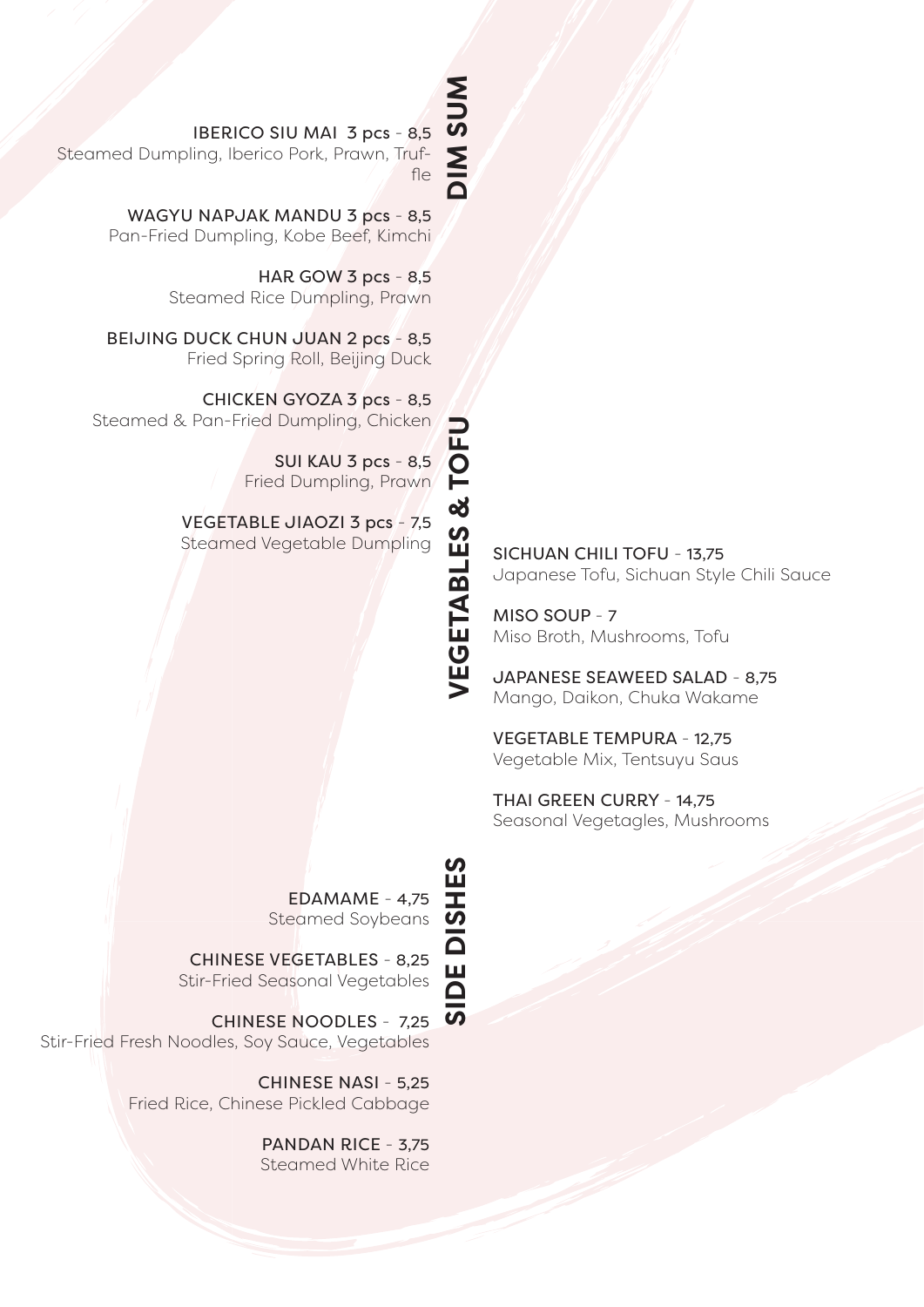# **NUSNIC DIM SUM**

**VEGETABLES & TOFU**

IBERICO SIU MAI 3 pcs - 8,5

Steamed Dumpling, Iberico Pork, Prawn, Truffle

> WAGYU NAPJAK MANDU 3 pcs - 8,5 Pan-Fried Dumpling, Kobe Beef, Kimchi

> > HAR GOW 3 pcs - 8,5 Steamed Rice Dumpling, Prawn

BEIJING DUCK CHUN JUAN 2 pcs - 8,5 Fried Spring Roll, Beijing Duck

CHICKEN GYOZA 3 pcs - 8,5 Steamed & Pan-Fried Dumpling, Chicken

> SUI KAU 3 pcs - 8,5 Fried Dumpling, Prawn

VEGETABLE JIAOZI 3 pcs - 7,5 SUI KAU 3 pcs - 8,5<br>
Fried Dumpling, Prawn<br>
Steamed Vegetable Dumpling<br>
SICHUAN CHILI TOFU - 13,75<br>
Steamed Vegetable Dumpling<br>
SICHUAN CHILI TOFU - 13,75<br>
Japanese Tofu, Sichuan Styl<br>
MISO SOUP - 7<br>
MISO SOUP - 7<br>
MISO Br

Japanese Tofu, Sichuan Style Chili Sauce

MISO SOUP - 7 Miso Broth, Mushrooms, Tofu

JAPANESE SEAWEED SALAD - 8,75 Mango, Daikon, Chuka Wakame

VEGETABLE TEMPURA - 12,75 Vegetable Mix, Tentsuyu Saus

THAI GREEN CURRY - 14,75 Seasonal Vegetagles, Mushrooms

EDAMAME - 4,75 Steamed Soybeans

CHINESE VEGETABLES - 8,25 Stir-Fried Seasonal Vegetables

CHINESE NOODLES - 7,25 Stir-Fried Fresh Noodles, Soy Sauce, Vegetables

> CHINESE NASI - 5,25 Fried Rice, Chinese Pickled Cabbage

> > PANDAN RICE - 3,75 Steamed White Rice

**SIDE DISHESIDE DISHES** 

 $\overline{\boldsymbol{\omega}}$